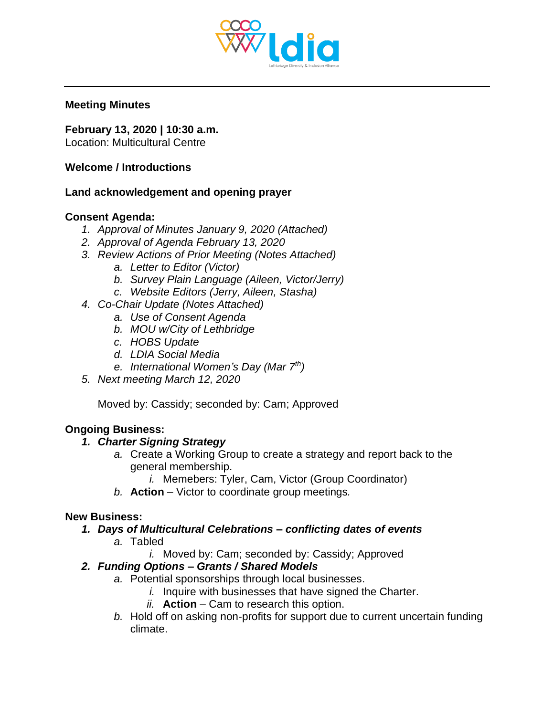

#### **Meeting Minutes**

**February 13, 2020 | 10:30 a.m.**

Location: Multicultural Centre

### **Welcome / Introductions**

### **Land acknowledgement and opening prayer**

## **Consent Agenda:**

- *1. Approval of Minutes January 9, 2020 (Attached)*
- *2. Approval of Agenda February 13, 2020*
- *3. Review Actions of Prior Meeting (Notes Attached)*
	- *a. Letter to Editor (Victor)*
	- *b. Survey Plain Language (Aileen, Victor/Jerry)*
	- *c. Website Editors (Jerry, Aileen, Stasha)*
- *4. Co-Chair Update (Notes Attached)*
	- *a. Use of Consent Agenda*
	- *b. MOU w/City of Lethbridge*
	- *c. HOBS Update*
	- *d. LDIA Social Media*
	- *e. International Women's Day (Mar 7th)*
- *5. Next meeting March 12, 2020*

Moved by: Cassidy; seconded by: Cam; Approved

# **Ongoing Business:**

### *1. Charter Signing Strategy*

*a.* Create a Working Group to create a strategy and report back to the general membership.

*i.* Memebers: Tyler, Cam, Victor (Group Coordinator)

*b.* **Action** – Victor to coordinate group meetings*.*

### **New Business:**

- *1. Days of Multicultural Celebrations – conflicting dates of events*
	- *a.* Tabled
		- *i.* Moved by: Cam; seconded by: Cassidy; Approved

# *2. Funding Options – Grants / Shared Models*

- *a.* Potential sponsorships through local businesses.
	- *i.* Inquire with businesses that have signed the Charter.
	- *ii.* **Action** Cam to research this option.
- *b.* Hold off on asking non-profits for support due to current uncertain funding climate.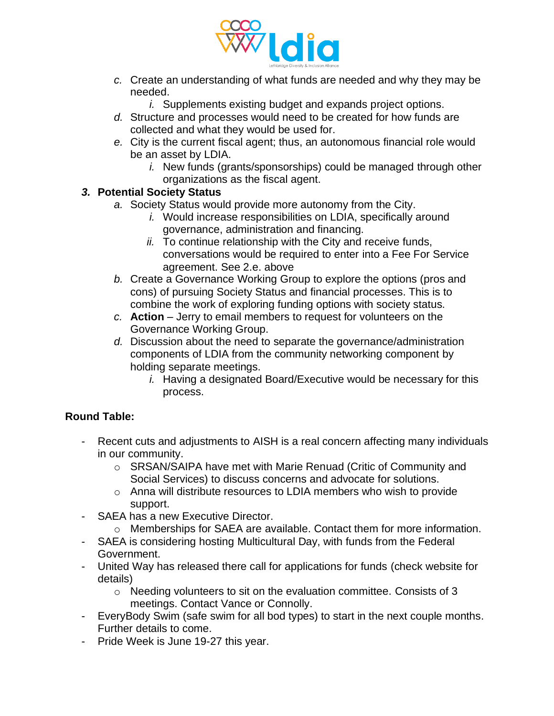

- *c.* Create an understanding of what funds are needed and why they may be needed.
	- *i.* Supplements existing budget and expands project options.
- *d.* Structure and processes would need to be created for how funds are collected and what they would be used for.
- *e.* City is the current fiscal agent; thus, an autonomous financial role would be an asset by LDIA.
	- *i.* New funds (grants/sponsorships) could be managed through other organizations as the fiscal agent.

### *3.* **Potential Society Status**

- *a.* Society Status would provide more autonomy from the City.
	- *i.* Would increase responsibilities on LDIA, specifically around governance, administration and financing.
	- *ii.* To continue relationship with the City and receive funds, conversations would be required to enter into a Fee For Service agreement. See 2.e. above
- *b.* Create a Governance Working Group to explore the options (pros and cons) of pursuing Society Status and financial processes. This is to combine the work of exploring funding options with society status.
- *c.* **Action** Jerry to email members to request for volunteers on the Governance Working Group.
- *d.* Discussion about the need to separate the governance/administration components of LDIA from the community networking component by holding separate meetings.
	- *i.* Having a designated Board/Executive would be necessary for this process.

# **Round Table:**

- Recent cuts and adjustments to AISH is a real concern affecting many individuals in our community.
	- o SRSAN/SAIPA have met with Marie Renuad (Critic of Community and Social Services) to discuss concerns and advocate for solutions.
	- o Anna will distribute resources to LDIA members who wish to provide support.
- SAEA has a new Executive Director.
	- $\circ$  Memberships for SAEA are available. Contact them for more information.
- SAEA is considering hosting Multicultural Day, with funds from the Federal Government.
- United Way has released there call for applications for funds (check website for details)
	- o Needing volunteers to sit on the evaluation committee. Consists of 3 meetings. Contact Vance or Connolly.
- EveryBody Swim (safe swim for all bod types) to start in the next couple months. Further details to come.
- Pride Week is June 19-27 this year.